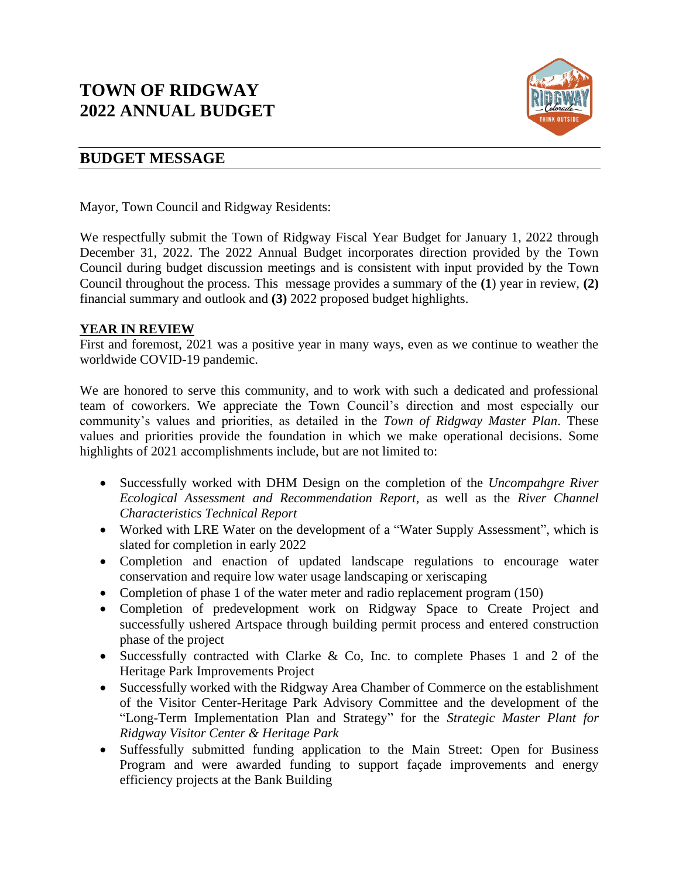# **TOWN OF RIDGWAY 2022 ANNUAL BUDGET**



# **BUDGET MESSAGE**

Mayor, Town Council and Ridgway Residents:

We respectfully submit the Town of Ridgway Fiscal Year Budget for January 1, 2022 through December 31, 2022. The 2022 Annual Budget incorporates direction provided by the Town Council during budget discussion meetings and is consistent with input provided by the Town Council throughout the process. This message provides a summary of the **(1**) year in review, **(2)** financial summary and outlook and **(3)** 2022 proposed budget highlights.

## **YEAR IN REVIEW**

First and foremost, 2021 was a positive year in many ways, even as we continue to weather the worldwide COVID-19 pandemic.

We are honored to serve this community, and to work with such a dedicated and professional team of coworkers. We appreciate the Town Council's direction and most especially our community's values and priorities, as detailed in the *Town of Ridgway Master Plan*. These values and priorities provide the foundation in which we make operational decisions. Some highlights of 2021 accomplishments include, but are not limited to:

- Successfully worked with DHM Design on the completion of the *Uncompahgre River Ecological Assessment and Recommendation Report*, as well as the *River Channel Characteristics Technical Report*
- Worked with LRE Water on the development of a "Water Supply Assessment", which is slated for completion in early 2022
- Completion and enaction of updated landscape regulations to encourage water conservation and require low water usage landscaping or xeriscaping
- Completion of phase 1 of the water meter and radio replacement program (150)
- Completion of predevelopment work on Ridgway Space to Create Project and successfully ushered Artspace through building permit process and entered construction phase of the project
- Successfully contracted with Clarke & Co, Inc. to complete Phases 1 and 2 of the Heritage Park Improvements Project
- Successfully worked with the Ridgway Area Chamber of Commerce on the establishment of the Visitor Center-Heritage Park Advisory Committee and the development of the "Long-Term Implementation Plan and Strategy" for the *Strategic Master Plant for Ridgway Visitor Center & Heritage Park*
- Suffessfully submitted funding application to the Main Street: Open for Business Program and were awarded funding to support façade improvements and energy efficiency projects at the Bank Building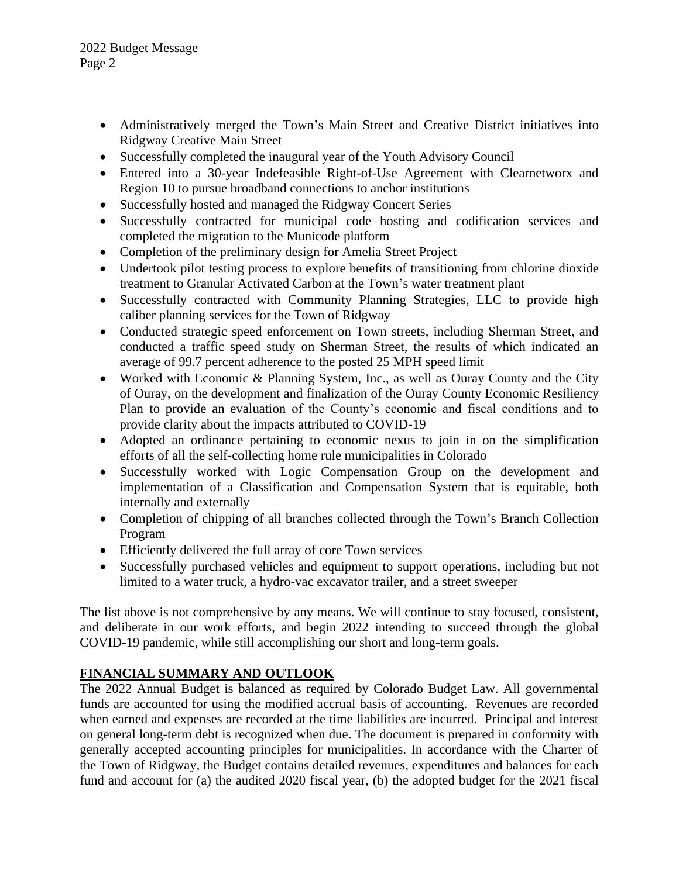- Administratively merged the Town's Main Street and Creative District initiatives into Ridgway Creative Main Street
- Successfully completed the inaugural year of the Youth Advisory Council
- Entered into a 30-year Indefeasible Right-of-Use Agreement with Clearnetworx and Region 10 to pursue broadband connections to anchor institutions
- Successfully hosted and managed the Ridgway Concert Series
- Successfully contracted for municipal code hosting and codification services and completed the migration to the Municode platform
- Completion of the preliminary design for Amelia Street Project
- Undertook pilot testing process to explore benefits of transitioning from chlorine dioxide treatment to Granular Activated Carbon at the Town's water treatment plant
- Successfully contracted with Community Planning Strategies, LLC to provide high caliber planning services for the Town of Ridgway
- Conducted strategic speed enforcement on Town streets, including Sherman Street, and conducted a traffic speed study on Sherman Street, the results of which indicated an average of 99.7 percent adherence to the posted 25 MPH speed limit
- Worked with Economic & Planning System, Inc., as well as Ouray County and the City of Ouray, on the development and finalization of the Ouray County Economic Resiliency Plan to provide an evaluation of the County's economic and fiscal conditions and to provide clarity about the impacts attributed to COVID-19
- Adopted an ordinance pertaining to economic nexus to join in on the simplification efforts of all the self-collecting home rule municipalities in Colorado
- Successfully worked with Logic Compensation Group on the development and implementation of a Classification and Compensation System that is equitable, both internally and externally
- Completion of chipping of all branches collected through the Town's Branch Collection Program
- Efficiently delivered the full array of core Town services
- Successfully purchased vehicles and equipment to support operations, including but not limited to a water truck, a hydro-vac excavator trailer, and a street sweeper

The list above is not comprehensive by any means. We will continue to stay focused, consistent, and deliberate in our work efforts, and begin 2022 intending to succeed through the global COVID-19 pandemic, while still accomplishing our short and long-term goals.

# **FINANCIAL SUMMARY AND OUTLOOK**

The 2022 Annual Budget is balanced as required by Colorado Budget Law. All governmental funds are accounted for using the modified accrual basis of accounting. Revenues are recorded when earned and expenses are recorded at the time liabilities are incurred. Principal and interest on general long-term debt is recognized when due. The document is prepared in conformity with generally accepted accounting principles for municipalities. In accordance with the Charter of the Town of Ridgway, the Budget contains detailed revenues, expenditures and balances for each fund and account for (a) the audited 2020 fiscal year, (b) the adopted budget for the 2021 fiscal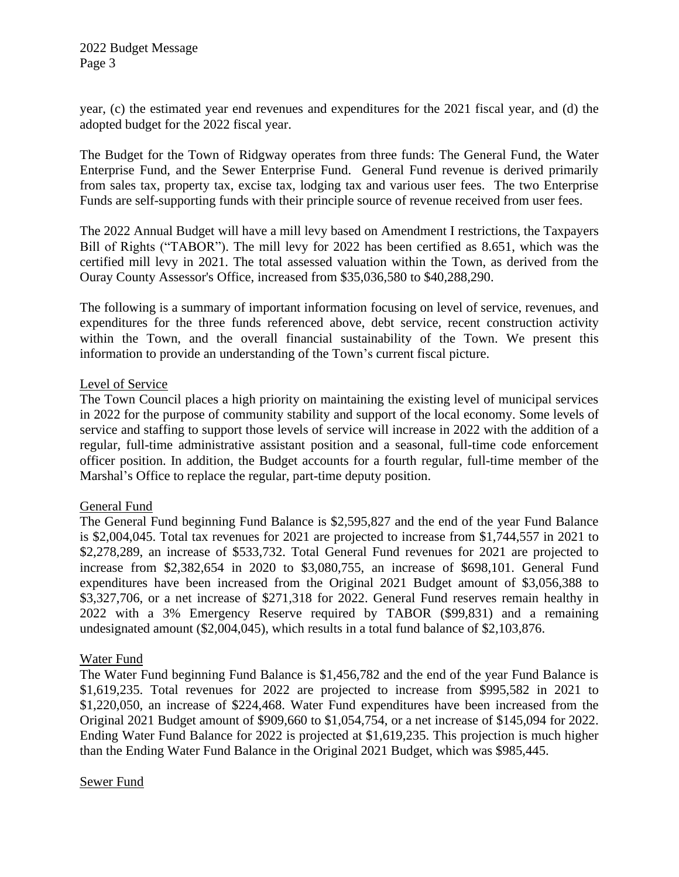2022 Budget Message Page 3

year, (c) the estimated year end revenues and expenditures for the 2021 fiscal year, and (d) the adopted budget for the 2022 fiscal year.

The Budget for the Town of Ridgway operates from three funds: The General Fund, the Water Enterprise Fund, and the Sewer Enterprise Fund. General Fund revenue is derived primarily from sales tax, property tax, excise tax, lodging tax and various user fees. The two Enterprise Funds are self-supporting funds with their principle source of revenue received from user fees.

The 2022 Annual Budget will have a mill levy based on Amendment I restrictions, the Taxpayers Bill of Rights ("TABOR"). The mill levy for 2022 has been certified as 8.651, which was the certified mill levy in 2021. The total assessed valuation within the Town, as derived from the Ouray County Assessor's Office, increased from \$35,036,580 to \$40,288,290.

The following is a summary of important information focusing on level of service, revenues, and expenditures for the three funds referenced above, debt service, recent construction activity within the Town, and the overall financial sustainability of the Town. We present this information to provide an understanding of the Town's current fiscal picture.

#### Level of Service

The Town Council places a high priority on maintaining the existing level of municipal services in 2022 for the purpose of community stability and support of the local economy. Some levels of service and staffing to support those levels of service will increase in 2022 with the addition of a regular, full-time administrative assistant position and a seasonal, full-time code enforcement officer position. In addition, the Budget accounts for a fourth regular, full-time member of the Marshal's Office to replace the regular, part-time deputy position.

## General Fund

The General Fund beginning Fund Balance is \$2,595,827 and the end of the year Fund Balance is \$2,004,045. Total tax revenues for 2021 are projected to increase from \$1,744,557 in 2021 to \$2,278,289, an increase of \$533,732. Total General Fund revenues for 2021 are projected to increase from \$2,382,654 in 2020 to \$3,080,755, an increase of \$698,101. General Fund expenditures have been increased from the Original 2021 Budget amount of \$3,056,388 to \$3,327,706, or a net increase of \$271,318 for 2022. General Fund reserves remain healthy in 2022 with a 3% Emergency Reserve required by TABOR (\$99,831) and a remaining undesignated amount (\$2,004,045), which results in a total fund balance of \$2,103,876.

## Water Fund

The Water Fund beginning Fund Balance is \$1,456,782 and the end of the year Fund Balance is \$1,619,235. Total revenues for 2022 are projected to increase from \$995,582 in 2021 to \$1,220,050, an increase of \$224,468. Water Fund expenditures have been increased from the Original 2021 Budget amount of \$909,660 to \$1,054,754, or a net increase of \$145,094 for 2022. Ending Water Fund Balance for 2022 is projected at \$1,619,235. This projection is much higher than the Ending Water Fund Balance in the Original 2021 Budget, which was \$985,445.

#### Sewer Fund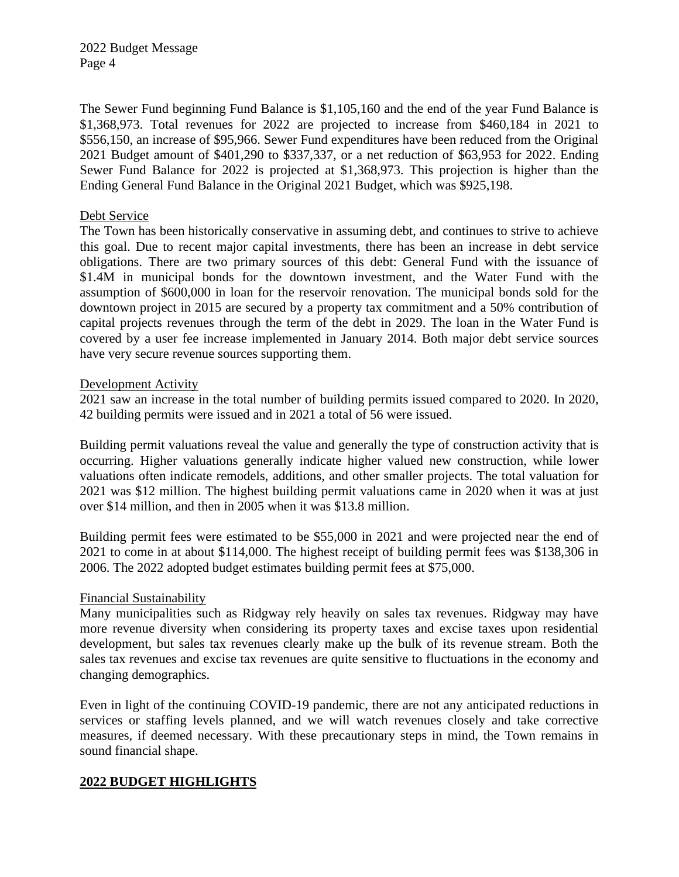2022 Budget Message Page 4

The Sewer Fund beginning Fund Balance is \$1,105,160 and the end of the year Fund Balance is \$1,368,973. Total revenues for 2022 are projected to increase from \$460,184 in 2021 to \$556,150, an increase of \$95,966. Sewer Fund expenditures have been reduced from the Original 2021 Budget amount of \$401,290 to \$337,337, or a net reduction of \$63,953 for 2022. Ending Sewer Fund Balance for 2022 is projected at \$1,368,973. This projection is higher than the Ending General Fund Balance in the Original 2021 Budget, which was \$925,198.

## Debt Service

The Town has been historically conservative in assuming debt, and continues to strive to achieve this goal. Due to recent major capital investments, there has been an increase in debt service obligations. There are two primary sources of this debt: General Fund with the issuance of \$1.4M in municipal bonds for the downtown investment, and the Water Fund with the assumption of \$600,000 in loan for the reservoir renovation. The municipal bonds sold for the downtown project in 2015 are secured by a property tax commitment and a 50% contribution of capital projects revenues through the term of the debt in 2029. The loan in the Water Fund is covered by a user fee increase implemented in January 2014. Both major debt service sources have very secure revenue sources supporting them.

#### Development Activity

2021 saw an increase in the total number of building permits issued compared to 2020. In 2020, 42 building permits were issued and in 2021 a total of 56 were issued.

Building permit valuations reveal the value and generally the type of construction activity that is occurring. Higher valuations generally indicate higher valued new construction, while lower valuations often indicate remodels, additions, and other smaller projects. The total valuation for 2021 was \$12 million. The highest building permit valuations came in 2020 when it was at just over \$14 million, and then in 2005 when it was \$13.8 million.

Building permit fees were estimated to be \$55,000 in 2021 and were projected near the end of 2021 to come in at about \$114,000. The highest receipt of building permit fees was \$138,306 in 2006. The 2022 adopted budget estimates building permit fees at \$75,000.

## Financial Sustainability

Many municipalities such as Ridgway rely heavily on sales tax revenues. Ridgway may have more revenue diversity when considering its property taxes and excise taxes upon residential development, but sales tax revenues clearly make up the bulk of its revenue stream. Both the sales tax revenues and excise tax revenues are quite sensitive to fluctuations in the economy and changing demographics.

Even in light of the continuing COVID-19 pandemic, there are not any anticipated reductions in services or staffing levels planned, and we will watch revenues closely and take corrective measures, if deemed necessary. With these precautionary steps in mind, the Town remains in sound financial shape.

## **2022 BUDGET HIGHLIGHTS**